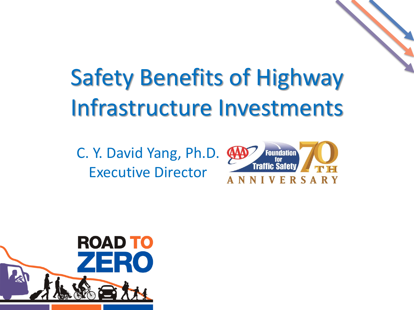# Safety Benefits of Highway Infrastructure Investments

C. Y. David Yang, Ph.D. Executive Director



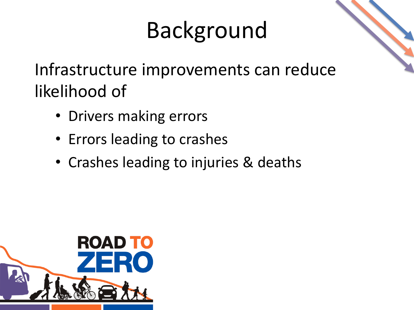# Background

Infrastructure improvements can reduce likelihood of

- Drivers making errors
- Errors leading to crashes
- Crashes leading to injuries & deaths

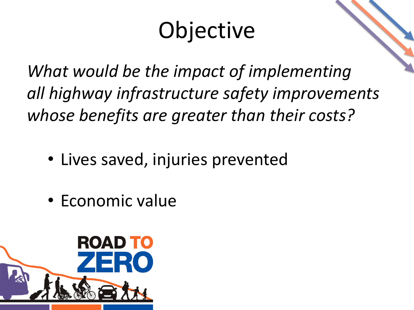# Objective

*What would be the impact of implementing all highway infrastructure safety improvements whose benefits are greater than their costs?*

- Lives saved, injuries prevented
- Economic value

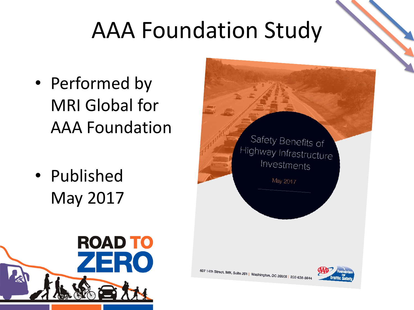## AAA Foundation Study

- Performed by MRI Global for AAA Foundation
- Published May 2017





607 14th Street, NW, Suite 201 | Washington, DC 20005 | 202-638-594

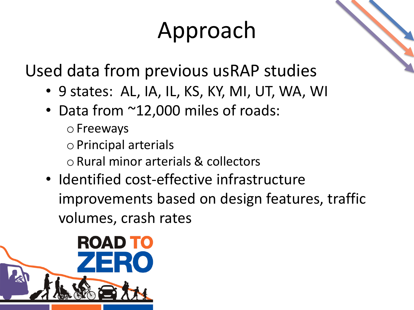# Approach

Used data from previous usRAP studies

- 9 states: AL, IA, IL, KS, KY, MI, UT, WA, WI
- Data from ~12,000 miles of roads:
	- o Freeways
	- oPrincipal arterials
	- o Rural minor arterials & collectors
- Identified cost-effective infrastructure improvements based on design features, traffic volumes, crash rates

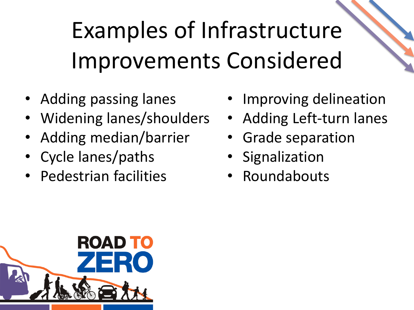# Examples of Infrastructure Improvements Considered

- Adding passing lanes
- Widening lanes/shoulders
- Adding median/barrier
- Cycle lanes/paths
- Pedestrian facilities
- Improving delineation
- Adding Left-turn lanes
- Grade separation
- Signalization
- **Roundabouts**

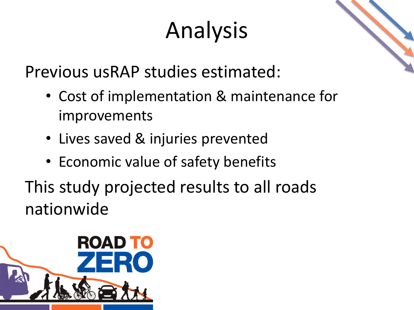# Analysis

Previous usRAP studies estimated:

- Cost of implementation & maintenance for improvements
- Lives saved & injuries prevented
- Economic value of safety benefits

This study projected results to all roads nationwide

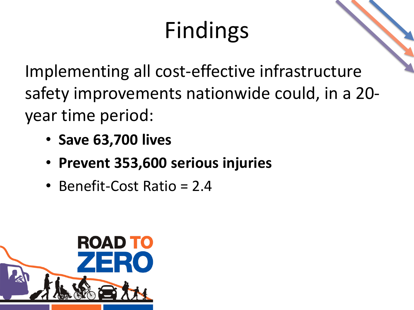# Findings

Implementing all cost-effective infrastructure safety improvements nationwide could, in a 20 year time period:

- **Save 63,700 lives**
- **Prevent 353,600 serious injuries**
- Benefit-Cost Ratio = 2.4

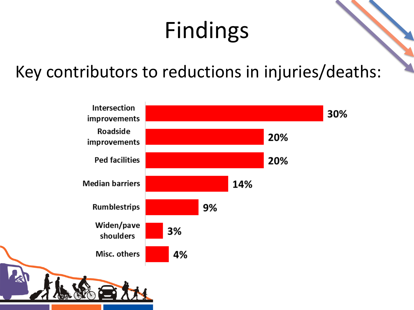# Findings

#### Key contributors to reductions in injuries/deaths:

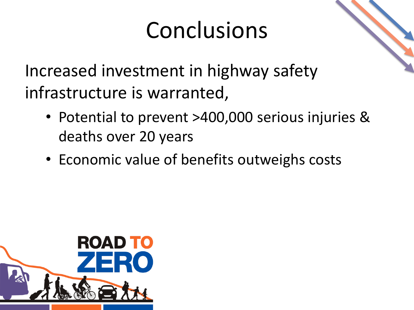## Conclusions



Increased investment in highway safety infrastructure is warranted,

- Potential to prevent >400,000 serious injuries & deaths over 20 years
- Economic value of benefits outweighs costs

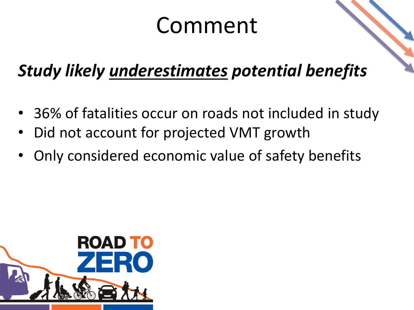### Comment

#### *Study likely underestimates potential benefits*

- 36% of fatalities occur on roads not included in study
- Did not account for projected VMT growth
- Only considered economic value of safety benefits